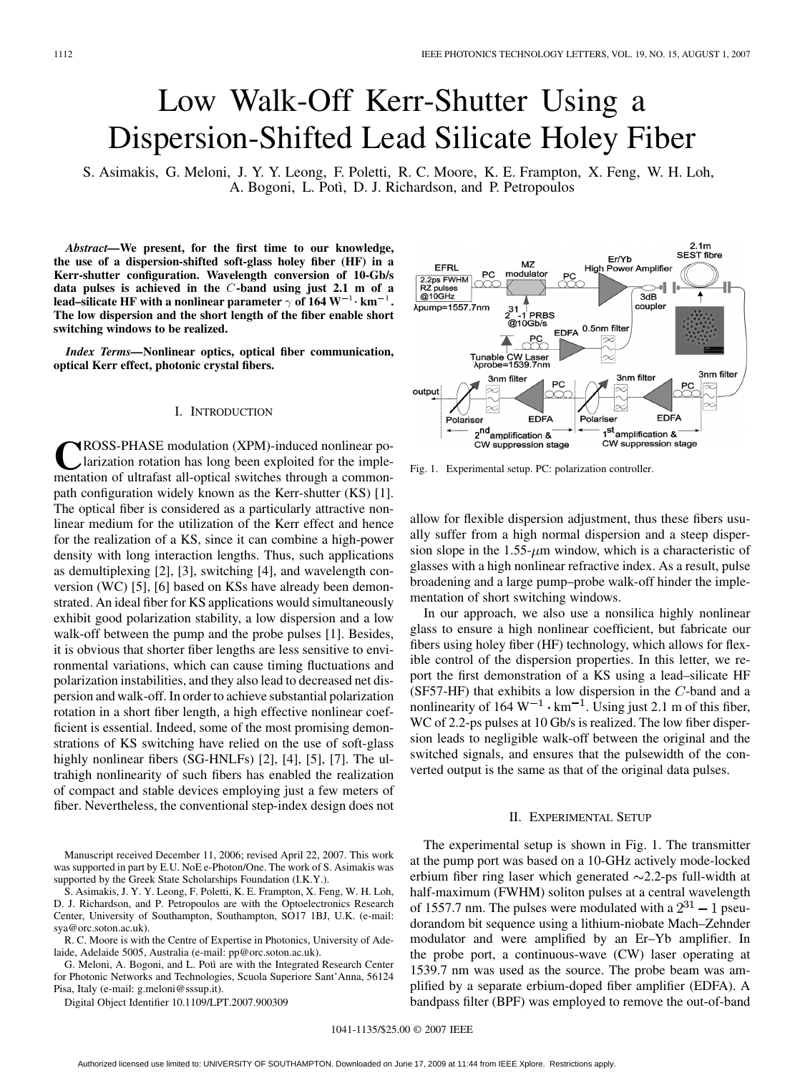# Low Walk-Off Kerr-Shutter Using a Dispersion-Shifted Lead Silicate Holey Fiber

S. Asimakis, G. Meloni, J. Y. Y. Leong, F. Poletti, R. C. Moore, K. E. Frampton, X. Feng, W. H. Loh, A. Bogoni, L. Potì, D. J. Richardson, and P. Petropoulos

*Abstract—***We present, for the first time to our knowledge, the use of a dispersion-shifted soft-glass holey fiber (HF) in a Kerr-shutter configuration. Wavelength conversion of 10-Gb/s data pulses is achieved in the** C**-band using just 2.1 m of a** lead–silicate HF with a nonlinear parameter  $\gamma$  of 164  $W^{-1}$   $km^{-1}$ . **The low dispersion and the short length of the fiber enable short switching windows to be realized.**

*Index Terms—***Nonlinear optics, optical fiber communication, optical Kerr effect, photonic crystal fibers.**

## I. INTRODUCTION

**C**ROSS-PHASE modulation (XPM)-induced nonlinear polarization rotation has long been exploited for the implementation of ultrafast all-optical switches through a commonpath configuration widely known as the Kerr-shutter (KS) [1]. The optical fiber is considered as a particularly attractive nonlinear medium for the utilization of the Kerr effect and hence for the realization of a KS, since it can combine a high-power density with long interaction lengths. Thus, such applications as demultiplexing [2], [3], switching [4], and wavelength conversion (WC) [5], [6] based on KSs have already been demonstrated. An ideal fiber for KS applications would simultaneously exhibit good polarization stability, a low dispersion and a low walk-off between the pump and the probe pulses [1]. Besides, it is obvious that shorter fiber lengths are less sensitive to environmental variations, which can cause timing fluctuations and polarization instabilities, and they also lead to decreased net dispersion and walk-off. In order to achieve substantial polarization rotation in a short fiber length, a high effective nonlinear coefficient is essential. Indeed, some of the most promising demonstrations of KS switching have relied on the use of soft-glass highly nonlinear fibers (SG-HNLFs) [2], [4], [5], [7]. The ultrahigh nonlinearity of such fibers has enabled the realization of compact and stable devices employing just a few meters of fiber. Nevertheless, the conventional step-index design does not

Manuscript received December 11, 2006; revised April 22, 2007. This work was supported in part by E.U. NoE e-Photon/One. The work of S. Asimakis was supported by the Greek State Scholarships Foundation (I.K.Y.).

S. Asimakis, J. Y. Y. Leong, F. Poletti, K. E. Frampton, X. Feng, W. H. Loh, D. J. Richardson, and P. Petropoulos are with the Optoelectronics Research Center, University of Southampton, Southampton, SO17 1BJ, U.K. (e-mail: sya@orc.soton.ac.uk).

R. C. Moore is with the Centre of Expertise in Photonics, University of Adelaide, Adelaide 5005, Australia (e-mail: pp@orc.soton.ac.uk).

G. Meloni, A. Bogoni, and L. Potì are with the Integrated Research Center for Photonic Networks and Technologies, Scuola Superiore Sant'Anna, 56124 Pisa, Italy (e-mail: g.meloni@sssup.it).

Digital Object Identifier 10.1109/LPT.2007.900309



Fig. 1. Experimental setup. PC: polarization controller.

allow for flexible dispersion adjustment, thus these fibers usually suffer from a high normal dispersion and a steep dispersion slope in the  $1.55-\mu m$  window, which is a characteristic of glasses with a high nonlinear refractive index. As a result, pulse broadening and a large pump–probe walk-off hinder the implementation of short switching windows.

In our approach, we also use a nonsilica highly nonlinear glass to ensure a high nonlinear coefficient, but fabricate our fibers using holey fiber (HF) technology, which allows for flexible control of the dispersion properties. In this letter, we report the first demonstration of a KS using a lead–silicate HF (SF57-HF) that exhibits a low dispersion in the  $C$ -band and a nonlinearity of  $164 \text{ W}^{-1} \cdot \text{km}^{-1}$ . Using just 2.1 m of this fiber, WC of 2.2-ps pulses at 10 Gb/s is realized. The low fiber dispersion leads to negligible walk-off between the original and the switched signals, and ensures that the pulsewidth of the converted output is the same as that of the original data pulses.

#### II. EXPERIMENTAL SETUP

The experimental setup is shown in Fig. 1. The transmitter at the pump port was based on a 10-GHz actively mode-locked erbium fiber ring laser which generated  $\sim$ 2.2-ps full-width at half-maximum (FWHM) soliton pulses at a central wavelength of 1557.7 nm. The pulses were modulated with a  $2^{31} - 1$  pseudorandom bit sequence using a lithium-niobate Mach–Zehnder modulator and were amplified by an Er–Yb amplifier. In the probe port, a continuous-wave (CW) laser operating at 1539.7 nm was used as the source. The probe beam was amplified by a separate erbium-doped fiber amplifier (EDFA). A bandpass filter (BPF) was employed to remove the out-of-band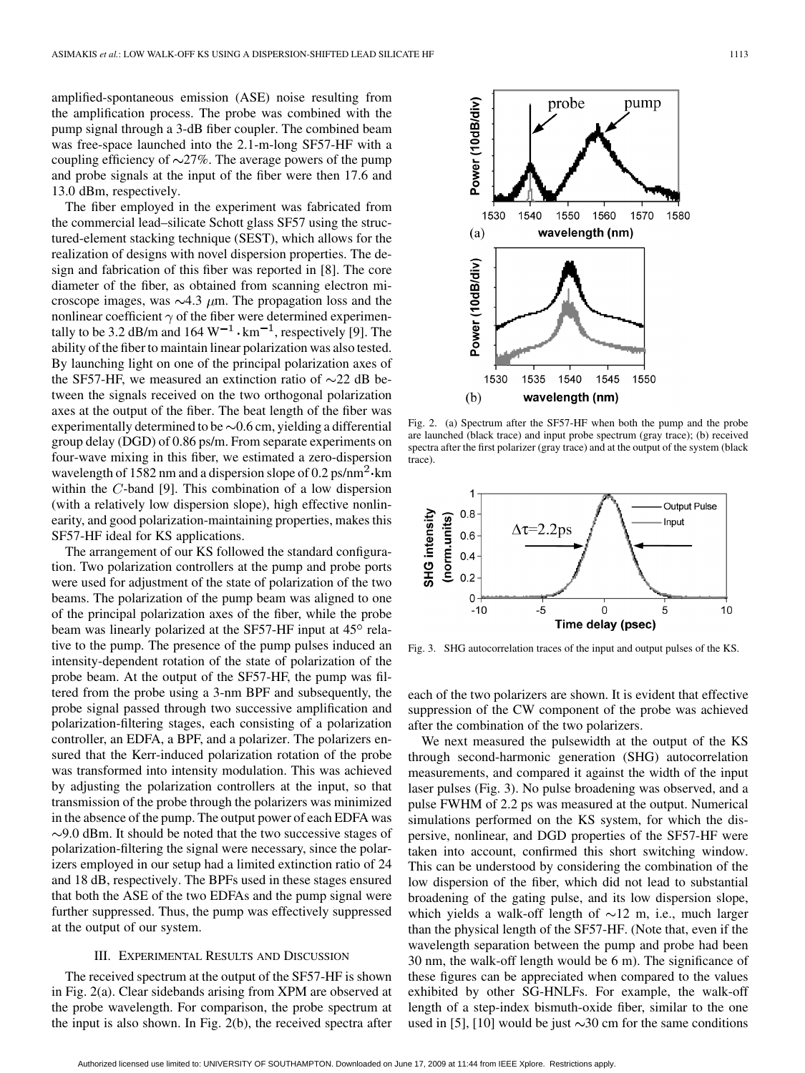amplified-spontaneous emission (ASE) noise resulting from the amplification process. The probe was combined with the pump signal through a 3-dB fiber coupler. The combined beam was free-space launched into the 2.1-m-long SF57-HF with a coupling efficiency of  $\sim$ 27%. The average powers of the pump and probe signals at the input of the fiber were then 17.6 and 13.0 dBm, respectively.

The fiber employed in the experiment was fabricated from the commercial lead–silicate Schott glass SF57 using the structured-element stacking technique (SEST), which allows for the realization of designs with novel dispersion properties. The design and fabrication of this fiber was reported in [8]. The core diameter of the fiber, as obtained from scanning electron microscope images, was  $\sim$ 4.3  $\mu$ m. The propagation loss and the nonlinear coefficient  $\gamma$  of the fiber were determined experimentally to be 3.2 dB/m and 164  $W^{-1}$  ·  $km^{-1}$ , respectively [9]. The ability of the fiber to maintain linear polarization was also tested. By launching light on one of the principal polarization axes of the SF57-HF, we measured an extinction ratio of  $\sim$ 22 dB between the signals received on the two orthogonal polarization axes at the output of the fiber. The beat length of the fiber was experimentally determined to be  $\sim 0.6$  cm, yielding a differential group delay (DGD) of 0.86 ps/m. From separate experiments on four-wave mixing in this fiber, we estimated a zero-dispersion wavelength of 1582 nm and a dispersion slope of  $0.2 \text{ ps/nm}^2 \cdot \text{km}$ within the  $C$ -band [9]. This combination of a low dispersion (with a relatively low dispersion slope), high effective nonlinearity, and good polarization-maintaining properties, makes this SF57-HF ideal for KS applications.

The arrangement of our KS followed the standard configuration. Two polarization controllers at the pump and probe ports were used for adjustment of the state of polarization of the two beams. The polarization of the pump beam was aligned to one of the principal polarization axes of the fiber, while the probe beam was linearly polarized at the SF57-HF input at  $45^{\circ}$  relative to the pump. The presence of the pump pulses induced an intensity-dependent rotation of the state of polarization of the probe beam. At the output of the SF57-HF, the pump was filtered from the probe using a 3-nm BPF and subsequently, the probe signal passed through two successive amplification and polarization-filtering stages, each consisting of a polarization controller, an EDFA, a BPF, and a polarizer. The polarizers ensured that the Kerr-induced polarization rotation of the probe was transformed into intensity modulation. This was achieved by adjusting the polarization controllers at the input, so that transmission of the probe through the polarizers was minimized in the absence of the pump. The output power of each EDFA was  $\sim$ 9.0 dBm. It should be noted that the two successive stages of polarization-filtering the signal were necessary, since the polarizers employed in our setup had a limited extinction ratio of 24 and 18 dB, respectively. The BPFs used in these stages ensured that both the ASE of the two EDFAs and the pump signal were further suppressed. Thus, the pump was effectively suppressed at the output of our system.

### III. EXPERIMENTAL RESULTS AND DISCUSSION

The received spectrum at the output of the SF57-HF is shown in Fig. 2(a). Clear sidebands arising from XPM are observed at the probe wavelength. For comparison, the probe spectrum at the input is also shown. In Fig. 2(b), the received spectra after



Fig. 2. (a) Spectrum after the SF57-HF when both the pump and the probe are launched (black trace) and input probe spectrum (gray trace); (b) received spectra after the first polarizer (gray trace) and at the output of the system (black trace).



Fig. 3. SHG autocorrelation traces of the input and output pulses of the KS.

each of the two polarizers are shown. It is evident that effective suppression of the CW component of the probe was achieved after the combination of the two polarizers.

We next measured the pulsewidth at the output of the KS through second-harmonic generation (SHG) autocorrelation measurements, and compared it against the width of the input laser pulses (Fig. 3). No pulse broadening was observed, and a pulse FWHM of 2.2 ps was measured at the output. Numerical simulations performed on the KS system, for which the dispersive, nonlinear, and DGD properties of the SF57-HF were taken into account, confirmed this short switching window. This can be understood by considering the combination of the low dispersion of the fiber, which did not lead to substantial broadening of the gating pulse, and its low dispersion slope, which yields a walk-off length of  $\sim$ 12 m, i.e., much larger than the physical length of the SF57-HF. (Note that, even if the wavelength separation between the pump and probe had been 30 nm, the walk-off length would be 6 m). The significance of these figures can be appreciated when compared to the values exhibited by other SG-HNLFs. For example, the walk-off length of a step-index bismuth-oxide fiber, similar to the one used in [5], [10] would be just  $\sim$ 30 cm for the same conditions